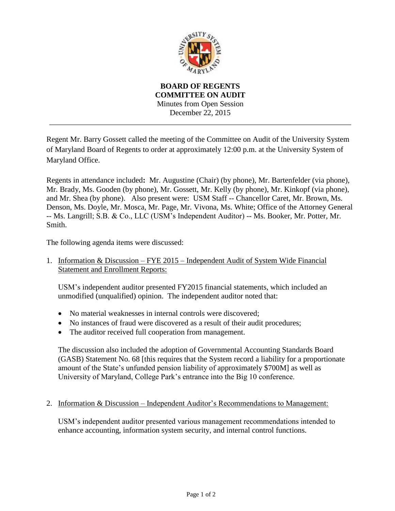

**BOARD OF REGENTS COMMITTEE ON AUDIT** Minutes from Open Session December 22, 2015 \_\_\_\_\_\_\_\_\_\_\_\_\_\_\_\_\_\_\_\_\_\_\_\_\_\_\_\_\_\_\_\_\_\_\_\_\_\_\_\_\_\_\_\_\_\_\_\_\_\_\_\_\_\_\_\_\_\_\_\_\_\_\_\_\_\_\_\_\_\_\_\_\_\_\_\_\_\_

Regent Mr. Barry Gossett called the meeting of the Committee on Audit of the University System of Maryland Board of Regents to order at approximately 12:00 p.m. at the University System of Maryland Office.

Regents in attendance included**:** Mr. Augustine (Chair) (by phone), Mr. Bartenfelder (via phone), Mr. Brady, Ms. Gooden (by phone), Mr. Gossett, Mr. Kelly (by phone), Mr. Kinkopf (via phone), and Mr. Shea (by phone). Also present were: USM Staff -- Chancellor Caret, Mr. Brown, Ms. Denson, Ms. Doyle, Mr. Mosca, Mr. Page, Mr. Vivona, Ms. White; Office of the Attorney General -- Ms. Langrill; S.B. & Co., LLC (USM's Independent Auditor) -- Ms. Booker, Mr. Potter, Mr. Smith.

The following agenda items were discussed:

1. Information & Discussion – FYE 2015 – Independent Audit of System Wide Financial Statement and Enrollment Reports:

USM's independent auditor presented FY2015 financial statements, which included an unmodified (unqualified) opinion. The independent auditor noted that:

- No material weaknesses in internal controls were discovered:
- No instances of fraud were discovered as a result of their audit procedures;
- The auditor received full cooperation from management.

The discussion also included the adoption of Governmental Accounting Standards Board (GASB) Statement No. 68 [this requires that the System record a liability for a proportionate amount of the State's unfunded pension liability of approximately \$700M] as well as University of Maryland, College Park's entrance into the Big 10 conference.

2. Information & Discussion – Independent Auditor's Recommendations to Management:

USM's independent auditor presented various management recommendations intended to enhance accounting, information system security, and internal control functions.